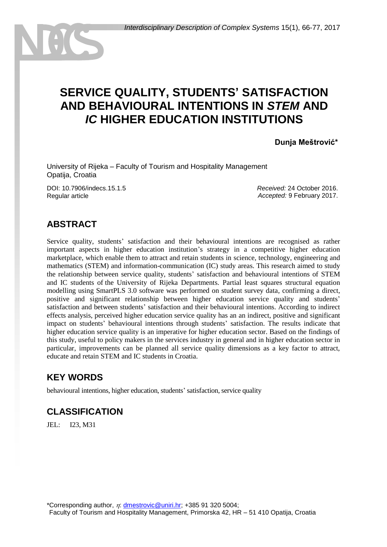# **SERVICE QUALITY, STUDENTS' SATISFACTION AND BEHAVIOURAL INTENTIONS IN** *STEM* **AND** *IC* **HIGHER EDUCATION INSTITUTIONS**

**Dunja Meštrović\***

University of Rijeka – Faculty of Tourism and Hospitality Management Opatija, Croatia

DOI: 10.7906/indecs.15.1.5 Regular article

*Received:* 24 October 2016. *Accepted:* 9 February 2017.

## **ABSTRACT**

Service quality, students' satisfaction and their behavioural intentions are recognised as rather important aspects in higher education institution's strategy in a competitive higher education marketplace, which enable them to attract and retain students in science, technology, engineering and mathematics (STEM) and information-communication (IC) study areas. This research aimed to study the relationship between service quality, students' satisfaction and behavioural intentions of STEM and IC students of the University of Rijeka Departments. Partial least squares structural equation modelling using SmartPLS 3.0 software was performed on student survey data, confirming a direct, positive and significant relationship between higher education service quality and students' satisfaction and between students' satisfaction and their behavioural intentions. According to indirect effects analysis, perceived higher education service quality has an an indirect, positive and significant impact on students' behavioural intentions through students' satisfaction. The results indicate that higher education service quality is an imperative for higher education sector. Based on the findings of this study, useful to policy makers in the services industry in general and in higher education sector in particular, improvements can be planned all service quality dimensions as a key factor to attract, educate and retain STEM and IC students in Croatia.

### **KEY WORDS**

behavioural intentions, higher education, students' satisfaction, service quality

### **CLASSIFICATION**

JEL: I23, M31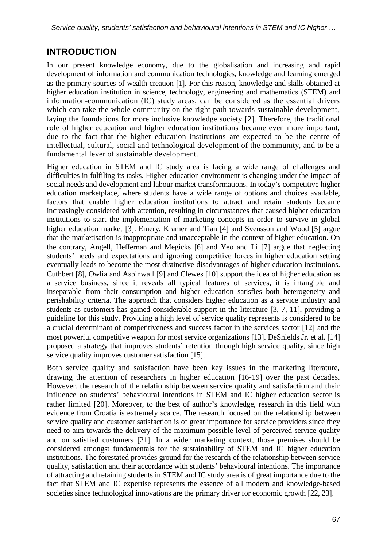## **INTRODUCTION**

In our present knowledge economy, due to the globalisation and increasing and rapid development of information and communication technologies, knowledge and learning emerged as the primary sources of wealth creation [1]. For this reason, knowledge and skills obtained at higher education institution in science, technology, engineering and mathematics (STEM) and information-communication (IC) study areas, can be considered as the essential drivers which can take the whole community on the right path towards sustainable development, laying the foundations for more inclusive knowledge society [2]. Therefore, the traditional role of higher education and higher education institutions became even more important, due to the fact that the higher education institutions are expected to be the centre of intellectual, cultural, social and technological development of the community, and to be a fundamental lever of sustainable development.

Higher education in STEM and IC study area is facing a wide range of challenges and difficulties in fulfiling its tasks. Higher education environment is changing under the impact of social needs and development and labour market transformations. In today's competitive higher education marketplace, where students have a wide range of options and choices available, factors that enable higher education institutions to attract and retain students became increasingly considered with attention, resulting in circumstances that caused higher education institutions to start the implementation of marketing concepts in order to survive in global higher education market [3]. Emery, Kramer and Tian [4] and Svensson and Wood [5] argue that the marketisation is inappropriate and unacceptable in the context of higher education. On the contrary, Angell, Heffernan and Megicks [6] and Yeo and Li [7] argue that neglecting students' needs and expectations and ignoring competitive forces in higher education setting eventually leads to become the most distinctive disadvantages of higher education institutions. Cuthbert [8], Owlia and Aspinwall [9] and Clewes [10] support the idea of higher education as a service business, since it reveals all typical features of services, it is intangible and inseparable from their consumption and higher education satisfies both heterogeneity and perishability criteria. The approach that considers higher education as a service industry and students as customers has gained considerable support in the literature  $[3, 7, 11]$ , providing a guideline for this study. Providing a high level of service quality represents is considered to be a crucial determinant of competitiveness and success factor in the services sector [12] and the most powerful competitive weapon for most service organizations [13]. DeShields Jr. et al. [14] proposed a strategy that improves students' retention through high service quality, since high service quality improves customer satisfaction [15].

Both service quality and satisfaction have been key issues in the marketing literature, drawing the attention of researchers in higher education 16-19 over the past decades. However, the research of the relationship between service quality and satisfaction and their influence on students' behavioural intentions in STEM and IC higher education sector is rather limited [20]. Moreover, to the best of author's knowledge, research in this field with evidence from Croatia is extremely scarce. The research focused on the relationship between service quality and customer satisfaction is of great importance for service providers since they need to aim towards the delivery of the maximum possible level of perceived service quality and on satisfied customers [21]. In a wider marketing context, those premises should be considered amongst fundamentals for the sustainability of STEM and IC higher education institutions. The forestated provides ground for the research of the relationship between service quality, satisfaction and their accordance with students' behavioural intentions. The importance of attracting and retaining students in STEM and IC study area is of great importance due to the fact that STEM and IC expertise represents the essence of all modern and knowledge-based societies since technological innovations are the primary driver for economic growth [22, 23].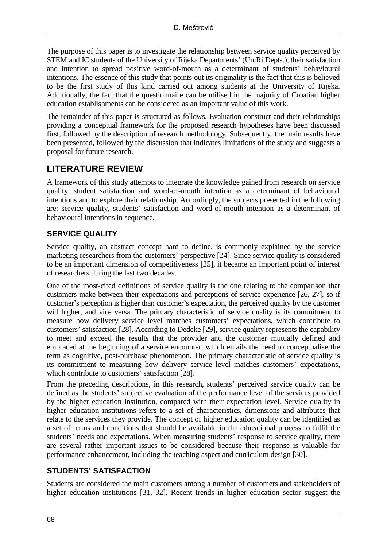The purpose of this paper is to investigate the relationship between service quality perceived by STEM and IC students of the University of Rijeka Departments' (UniRi Depts.), their satisfaction and intention to spread positive word-of-mouth as a determinant of students' behavioural intentions. The essence of this study that points out its originality is the fact that this is believed to be the first study of this kind carried out among students at the University of Rijeka. Additionally, the fact that the questionnaire can be utilised in the majority of Croatian higher education establishments can be considered as an important value of this work.

The remainder of this paper is structured as follows. Evaluation construct and their relationships providing a conceptual framework for the proposed research hypotheses have been discussed first, followed by the description of research methodology. Subsequently, the main results have been presented, followed by the discussion that indicates limitations of the study and suggests a proposal for future research.

## **LITERATURE REVIEW**

A framework of this study attempts to integrate the knowledge gained from research on service quality, student satisfaction and word-of-mouth intention as a determinant of behavioural intentions and to explore their relationship. Accordingly, the subjects presented in the following are: service quality, students' satisfaction and word-of-mouth intention as a determinant of behavioural intentions in sequence.

#### **SERVICE QUALITY**

Service quality, an abstract concept hard to define, is commonly explained by the service marketing researchers from the customers' perspective [24]. Since service quality is considered to be an important dimension of competitiveness [25], it became an important point of interest of researchers during the last two decades.

One of the most-cited definitions of service quality is the one relating to the comparison that customers make between their expectations and perceptions of service experience [26, 27], so if customer's perception is higher than customer's expectation, the perceived quality by the customer will higher, and vice versa. The primary characteristic of service quality is its commitment to measure how delivery service level matches customers' expectations, which contribute to customers' satisfaction [28]. According to Dedeke [29], service quality represents the capability to meet and exceed the results that the provider and the customer mutually defined and embraced at the beginning of a service encounter, which entails the need to conceptualise the term as cognitive, post-purchase phenomenon. The primary characteristic of service quality is its commitment to measuring how delivery service level matches customers' expectations, which contribute to customers' satisfaction [28].

From the preceding descriptions, in this research, students' perceived service quality can be defined as the students' subjective evaluation of the performance level of the services provided by the higher education institution, compared with their expectation level. Service quality in higher education institutions refers to a set of characteristics, dimensions and attributes that relate to the services they provide. The concept of higher education quality can be identified as a set of terms and conditions that should be available in the educational process to fulfil the students' needs and expectations. When measuring students' response to service quality, there are several rather important issues to be considered because their response is valuable for performance enhancement, including the teaching aspect and curriculum design [30].

#### **STUDENTS' SATISFACTION**

Students are considered the main customers among a number of customers and stakeholders of higher education institutions [31, 32]. Recent trends in higher education sector suggest the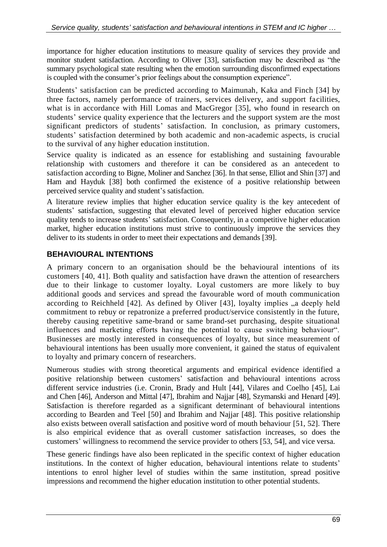importance for higher education institutions to measure quality of services they provide and monitor student satisfaction. According to Oliver [33], satisfaction may be described as "the summary psychological state resulting when the emotion surrounding disconfirmed expectations is coupled with the consumer's prior feelings about the consumption experience".

Students' satisfaction can be predicted according to Maimunah, Kaka and Finch [34] by three factors, namely performance of trainers, services delivery, and support facilities, what is in accordance with Hill Lomas and MacGregor [35], who found in research on students' service quality experience that the lecturers and the support system are the most significant predictors of students' satisfaction. In conclusion, as primary customers, students' satisfaction determined by both academic and non-academic aspects, is crucial to the survival of any higher education institution.

Service quality is indicated as an essence for establishing and sustaining favourable relationship with customers and therefore it can be considered as an antecedent to satisfaction according to Bigne, Moliner and Sanchez [36]. In that sense, Elliot and Shin [37] and Ham and Hayduk [38] both confirmed the existence of a positive relationship between perceived service quality and student's satisfaction.

A literature review implies that higher education service quality is the key antecedent of students' satisfaction, suggesting that elevated level of perceived higher education service quality tends to increase students' satisfaction. Consequently, in a competitive higher education market, higher education institutions must strive to continuously improve the services they deliver to its students in order to meet their expectations and demands [39].

#### **BEHAVIOURAL INTENTIONS**

A primary concern to an organisation should be the behavioural intentions of its customers [40, 41]. Both quality and satisfaction have drawn the attention of researchers due to their linkage to customer loyalty. Loyal customers are more likely to buy additional goods and services and spread the favourable word of mouth communication according to Reichheld  $[42]$ . As defined by Oliver  $[43]$ , loyalty implies  $\alpha$  deeply held commitment to rebuy or repatronize a preferred product/service consistently in the future, thereby causing repetitive same-brand or same brand-set purchasing, despite situational influences and marketing efforts having the potential to cause switching behaviour". Businesses are mostly interested in consequences of loyalty, but since measurement of behavioural intentions has been usually more convenient, it gained the status of equivalent to loyalty and primary concern of researchers.

Numerous studies with strong theoretical arguments and empirical evidence identified a positive relationship between customers' satisfaction and behavioural intentions across different service industries (i.e. Cronin, Brady and Hult [44], Vilares and Coelho [45], Lai and Chen [46], Anderson and Mittal [47], Ibrahim and Najjar [48], Szymanski and Henard [49]. Satisfaction is therefore regarded as a significant determinant of behavioural intentions according to Bearden and Teel [50] and Ibrahim and Najjar [48]. This positive relationship also exists between overall satisfaction and positive word of mouth behaviour [51, 52]. There is also empirical evidence that as overall customer satisfaction increases, so does the customers' willingness to recommend the service provider to others [53, 54], and vice versa.

These generic findings have also been replicated in the specific context of higher education institutions. In the context of higher education, behavioural intentions relate to students' intentions to enrol higher level of studies within the same institution, spread positive impressions and recommend the higher education institution to other potential students.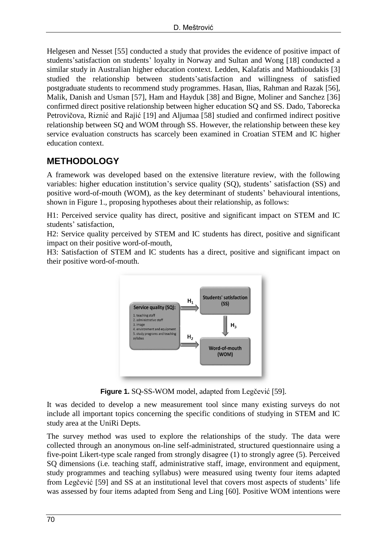Helgesen and Nesset [55] conducted a study that provides the evidence of positive impact of students'satisfaction on students' loyalty in Norway and Sultan and Wong [18] conducted a similar study in Australian higher education context. Ledden, Kalafatis and Mathioudakis [3] studied the relationship between students'satisfaction and willingness of satisfied postgraduate students to recommend study programmes. Hasan, Ilias, Rahman and Razak [56], Malik, Danish and Usman [57], Ham and Hayduk [38] and Bigne, Moliner and Sanchez [36] confirmed direct positive relationship between higher education SQ and SS. Dado, Taborecka Petrovičova, Riznić and Rajić [19] and Aljumaa [58] studied and confirmed indirect positive relationship between SQ and WOM through SS. However, the relationship between these key service evaluation constructs has scarcely been examined in Croatian STEM and IC higher education context.

### **METHODOLOGY**

A framework was developed based on the extensive literature review, with the following variables: higher education institution's service quality (SQ), students' satisfaction (SS) and positive word-of-mouth (WOM), as the key determinant of students' behavioural intentions, shown in Figure 1., proposing hypotheses about their relationship, as follows:

H1: Perceived service quality has direct, positive and significant impact on STEM and IC students' satisfaction,

H2: Service quality perceived by STEM and IC students has direct, positive and significant impact on their positive word-of-mouth,

H3: Satisfaction of STEM and IC students has a direct, positive and significant impact on their positive word-of-mouth.



**Figure 1.** SQ-SS-WOM model, adapted from Legčević [59].

It was decided to develop a new measurement tool since many existing surveys do not include all important topics concerning the specific conditions of studying in STEM and IC study area at the UniRi Depts.

The survey method was used to explore the relationships of the study. The data were collected through an anonymous on-line self-administrated, structured questionnaire using a five-point Likert-type scale ranged from strongly disagree (1) to strongly agree (5). Perceived SQ dimensions (i.e. teaching staff, administrative staff, image, environment and equipment, study programmes and teaching syllabus) were measured using twenty four items adapted from Legčević [59] and SS at an institutional level that covers most aspects of students' life was assessed by four items adapted from Seng and Ling [60]. Positive WOM intentions were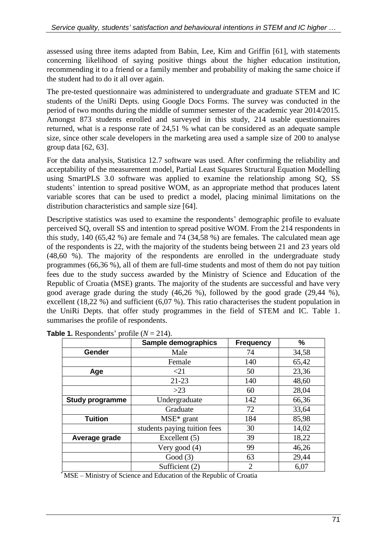assessed using three items adapted from [Babin, Lee, Kim and Griffin \[61\],](http://www.emeraldinsight.com/author/Babin%2C+Barry+J) with statements concerning likelihood of saying positive things about the higher education institution, recommending it to a friend or a family member and probability of making the same choice if the student had to do it all over again.

The pre-tested questionnaire was administered to undergraduate and graduate STEM and IC students of the UniRi Depts. using Google Docs Forms. The survey was conducted in the period of two months during the middle of summer semester of the academic year 2014/2015. Amongst 873 students enrolled and surveyed in this study, 214 usable questionnaires returned, what is a response rate of 24,51 % what can be considered as an adequate sample size, since other scale developers in the marketing area used a sample size of 200 to analyse group data [62, 63].

For the data analysis, Statistica 12.7 software was used. After confirming the reliability and acceptability of the measurement model, Partial Least Squares Structural Equation Modelling using SmartPLS 3.0 software was applied to examine the relationship among SQ, SS students' intention to spread positive WOM, as an appropriate method that produces latent variable scores that can be used to predict a model, placing minimal limitations on the distribution characteristics and sample size [64].

Descriptive statistics was used to examine the respondents' demographic profile to evaluate perceived SQ, overall SS and intention to spread positive WOM. From the 214 respondents in this study, 140 (65,42 %) are female and 74 (34,58 %) are females. The calculated mean age of the respondents is 22, with the majority of the students being between 21 and 23 years old (48,60 %). The majority of the respondents are enrolled in the undergraduate study programmes (66,36 %), all of them are full-time students and most of them do not pay tuition fees due to the study success awarded by the Ministry of Science and Education of the Republic of Croatia (MSE) grants. The majority of the students are successful and have very good average grade during the study (46,26 %), followed by the good grade (29,44 %), excellent (18,22 %) and sufficient (6,07 %). This ratio characterises the student population in the UniRi Depts. that offer study programmes in the field of STEM and IC. Table 1. summarises the profile of respondents.

|                        | Sample demographics          | <b>Frequency</b> | %     |  |
|------------------------|------------------------------|------------------|-------|--|
| Gender                 | Male                         | 74               | 34,58 |  |
|                        | Female                       | 140              | 65,42 |  |
| Age                    | $\leq$ 21                    | 50               | 23,36 |  |
|                        | $21 - 23$                    | 140              | 48,60 |  |
|                        | $>23$                        | 60               | 28,04 |  |
| <b>Study programme</b> | Undergraduate                | 142              | 66,36 |  |
|                        | Graduate                     | 72               | 33,64 |  |
| <b>Tuition</b>         | $MSE*$ grant                 | 184              | 85,98 |  |
|                        | students paying tuition fees | 30               | 14,02 |  |
| Average grade          | Excellent (5)                | 39               | 18,22 |  |
|                        | Very good $(4)$              | 99               | 46,26 |  |
|                        | Good $(3)$                   | 63               | 29,44 |  |
|                        | Sufficient (2)               | $\mathfrak{D}$   | 6,07  |  |

**Table 1.** Respondents' profile  $(N = 214)$ .

\*MSE – Ministry of Science and Education of the Republic of Croatia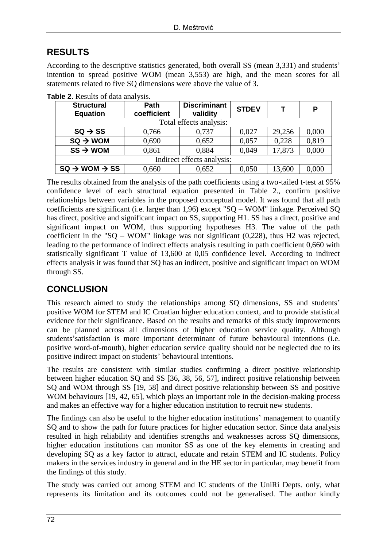## **RESULTS**

According to the descriptive statistics generated, both overall SS (mean 3,331) and students' intention to spread positive WOM (mean 3,553) are high, and the mean scores for all statements related to five SQ dimensions were above the value of 3.

| <b>Structural</b><br><b>Equation</b> | Path<br>coefficient | <b>Discriminant</b><br>validity | <b>STDEV</b> |        | Ρ     |  |  |
|--------------------------------------|---------------------|---------------------------------|--------------|--------|-------|--|--|
| Total effects analysis:              |                     |                                 |              |        |       |  |  |
| $SQ \rightarrow SS$                  | 0,766               | 0,737                           | 0,027        | 29,256 | 0,000 |  |  |
| $SQ \rightarrow WOM$                 | 0,690               | 0,652                           | 0,057        | 0,228  | 0,819 |  |  |
| $SS \rightarrow WOM$                 | 0,861               | 0,884                           | 0,049        | 17,873 | 0,000 |  |  |
| Indirect effects analysis:           |                     |                                 |              |        |       |  |  |
| $SQ \rightarrow WOM \rightarrow SS$  | 0,660               | 0,652                           | 0,050        | 13,600 | 0,000 |  |  |

**Table 2.** Results of data analysis.

The results obtained from the analysis of the path coefficients using a two-tailed t-test at 95% confidence level of each structural equation presented in Table 2., confirm positive relationships between variables in the proposed conceptual model. It was found that all path coefficients are significant (i.e. larger than 1,96) except "SQ – WOM" linkage. Perceived SQ has direct, positive and significant impact on SS, supporting H1. SS has a direct, positive and significant impact on WOM, thus supporting hypotheses H3. The value of the path coefficient in the "SQ – WOM" linkage was not significant (0,228), thus H2 was rejected, leading to the performance of indirect effects analysis resulting in path coefficient 0,660 with statistically significant T value of 13,600 at 0,05 confidence level. According to indirect effects analysis it was found that SQ has an indirect, positive and significant impact on WOM through SS.

## **CONCLUSION**

This research aimed to study the relationships among SQ dimensions, SS and students' positive WOM for STEM and IC Croatian higher education context, and to provide statistical evidence for their significance. Based on the results and remarks of this study improvements can be planned across all dimensions of higher education service quality. Although students'satisfaction is more important determinant of future behavioural intentions (i.e. positive word-of-mouth), higher education service quality should not be neglected due to its positive indirect impact on students' behavioural intentions.

The results are consistent with similar studies confirming a direct positive relationship between higher education SQ and SS [36, 38, 56, 57], indirect positive relationship between SQ and WOM through SS [19, 58] and direct positive relationship between SS and positive WOM behaviours [19, 42, 65], which plays an important role in the decision-making process and makes an effective way for a higher education institution to recruit new students.

The findings can also be useful to the higher education institutions' management to quantify SQ and to show the path for future practices for higher education sector. Since data analysis resulted in high reliability and identifies strengths and weaknesses across SQ dimensions, higher education institutions can monitor SS as one of the key elements in creating and developing SQ as a key factor to attract, educate and retain STEM and IC students. Policy makers in the services industry in general and in the HE sector in particular, may benefit from the findings of this study.

The study was carried out among STEM and IC students of the UniRi Depts. only, what represents its limitation and its outcomes could not be generalised. The author kindly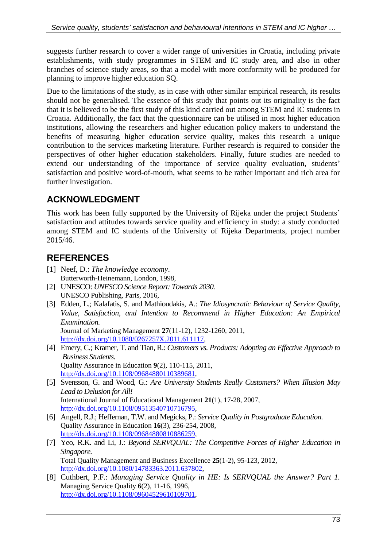suggests further research to cover a wider range of universities in Croatia, including private establishments, with study programmes in STEM and IC study area, and also in other branches of science study areas, so that a model with more conformity will be produced for planning to improve higher education SQ.

Due to the limitations of the study, as in case with other similar empirical research, its results should not be generalised. The essence of this study that points out its originality is the fact that it is believed to be the first study of this kind carried out among STEM and IC students in Croatia. Additionally, the fact that the questionnaire can be utilised in most higher education institutions, allowing the researchers and higher education policy makers to understand the benefits of measuring higher education service quality, makes this research a unique contribution to the services marketing literature. Further research is required to consider the perspectives of other higher education stakeholders. Finally, future studies are needed to extend our understanding of the importance of service quality evaluation, students' satisfaction and positive word-of-mouth, what seems to be rather important and rich area for further investigation.

## **ACKNOWLEDGMENT**

This work has been fully supported by the University of Rijeka under the project Students' satisfaction and attitudes towards service quality and efficiency in study: a study conducted among STEM and IC students of the University of Rijeka Departments, project number 2015/46.

# **REFERENCES**

- [1] Neef, D.: *The knowledge economy*. Butterworth-Heinemann, London, 1998,
- [2] UNESCO: *UNESCO Science Report: Towards 2030.* UNESCO Publishing, Paris, 2016,
- [3] Edden, L.; Kalafatis, S. and Mathioudakis, A.: *The Idiosyncratic Behaviour of Service Quality, Value, Satisfaction, and Intention to Recommend in Higher Education: An Empirical Examination.* Journal of Marketing Management **27**(11-12), 1232-1260, 2011,

[http://dx.doi.org/10.1080/0267257X.2011.611117,](http://dx.doi.org/10.1080/0267257X.2011.611117)

- [4] Emery, C.; Kramer, T. and Tian, R.: *Customers vs. Products: Adopting an Effective Approach to Business Students.* Quality Assurance in Education **9**(2), 110-115, 2011, [http://dx.doi.org/10.1108/09684880110389681,](http://dx.doi.org/10.1108/09684880110389681)
- [5] Svensson, G. and Wood, G.: *Are University Students Really Customers? When Illusion May Lead to Delusion for All!* International Journal of Educational Management **21**(1), 17-28, 2007, [http://dx.doi.org/10.1108/09513540710716795,](http://dx.doi.org/10.1108/09513540710716795)
- [6] Angell, R.J.; Heffernan, T.W. and Megicks, P.: *Service Quality in Postgraduate Education.* Quality Assurance in Education **16**(3), 236-254, 2008, http://dx.doi.org/10.1108/09684880810886259,
- [7] Yeo, R.K. and Li, J.: *Beyond SERVQUAL: The Competitive Forces of Higher Education in Singapore.* Total Quality Management and Business Excellence **25**(1-2), 95-123, 2012, [http://dx.doi.org/10.1080/14783363.2011.637802,](http://dx.doi.org/10.1080/14783363.2011.637802)
- [8] Cuthbert, P.F.: *Managing Service Quality in HE: Is SERVQUAL the Answer? Part 1.* Managing Service Quality **6**(2), 11-16, 1996, [http://dx.doi.org/10.1108/09604529610109701,](http://dx.doi.org/10.1108/09604529610109701)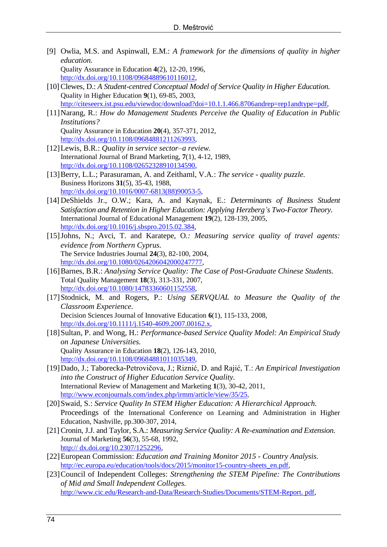- [9] [Owlia,](http://www.emeraldinsight.com/author/Owlia%2C+Mohammad+S) M.S. and [Aspinwall,](http://www.emeraldinsight.com/author/Aspinwall%2C+Elaine+M) E.M.: *A framework for the dimensions of quality in higher education.* Quality Assurance in Education **4**(2), 12-20, 1996, http://dx.doi.org/10.1108/09684889610116012,
- [10] Clewes, D.: A Student-centred Conceptual Model of Service Quality in Higher Education. Quality in Higher Education **9**(1), 69-85, 2003, [http://citeseerx.ist.psu.edu/viewdoc/download?doi=10.1.1.466.8706andrep=rep1andtype=pdf,](http://citeseerx.ist.psu.edu/viewdoc/download?doi=10.1.1.466.8706&rep=rep1&type=pdf)
- [11]Narang, R.: *How do Management Students Perceive the Quality of Education in Public Institutions?* Quality Assurance in Education **20**(4), 357-371, 2012, [http://dx.doi.org/10.1108/09684881211263993,](http://dx.doi.org/10.1108/09684881211263993)
- [12]Lewis, B.R.: *Quality in service sector–a review.*  International Journal of Brand Marketing, **7**(1), 4-12, 1989, [http://dx.doi.org/10.1108/02652328910134590,](http://dx.doi.org/10.1108/02652328910134590)
- [13]Berry, L.L.; Parasuraman, A. and Zeithaml, V.A*.*: *The service - quality puzzle.* Business Horizons **31**(5), 35-43, 1988, [http://dx.doi.org/10.1016/0007-6813\(88\)90053-5,](http://dx.doi.org/10.1016/0007-6813(88)90053-5)
- [14] DeShields Jr., O.W.; Kara, A. and Kaynak, E.: *Determinants of Business Student Satisfaction and Retention in Higher Education: Applying Herzberg's Two-Factor Theory.* International Journal of Educational Management **19**(2), 128-139, 2005, http://dx[.doi.org/10.1016/j.sbspro.2015.02.384,](http://dx.doi.org/10.1016/j.sbspro.2015.02.384)
- [15]Johns, N.; Avci, T. and Karatepe, O*.: Measuring service quality of travel agents: evidence from Northern Cyprus.* The Service Industries Journal **24**(3), 82-100, 2004, [http://dx.doi.org/10.1080/0264206042000247777,](http://dx.doi.org/10.1080/0264206042000247777)
- [16]Barnes, B.R.: *Analysing Service Quality: The Case of Post-Graduate Chinese Students.*  Total Quality Management **18**(3), 313-331, 2007, http://dx.doi.org/10.1080/14783360601152558,
- [17]Stodnick, M. and Rogers, P.: *Using SERVQUAL to Measure the Quality of the Classroom Experience.*  Decision Sciences Journal of Innovative Education **6**(1), 115-133, 2008, http://dx.doi.org/10.1111/j.1540-4609.2007.00162.x,
- [18]Sultan, P. and Wong, H.: *Performance-based Service Quality Model: An Empirical Study on Japanese Universities.*  Quality Assurance in Education **18**(2), 126-143, 2010, http://dx.doi.org/10.1108[/09684881011035349,](https://www.researchgate.net/publication/235274562_Performance-based_service_quality_model_An_empirical_study_on_Japanese_universities)
- [19]Dado, J.; Taborecka-Petrovičova, J.; Riznić, D. and Rajić, T.: *An Empirical Investigation into the Construct of Higher Education Service Quality.*  International Review of Management and Marketing **1**(3), 30-42, 2011, <http://www.econjournals.com/index.php/irmm/article/view/35/25>,
- [20]Swaid, S.: *Service Quality In STEM Higher Education: A Hierarchical Approach.* Proceedings of the International Conference on Learning and Administration in Higher Education, Nashville, pp.300-307, 2014,
- [21] Cronin, J.J. and Taylor, S.A.: *Measuring Service Quality: A Re-examination and Extension.*  Journal of Marketing **56**(3), 55-68, 1992, http:// dx.doi.org/10.2307/1252296,
- [22]European Commission: *[Education and Training Monitor 2015 -](http://public.mzos.hr/fgs.axd?id=24165) Country Analysis.*  http://ec.europa.eu/education/tools/docs/2015/monitor15-country-sheets\_en.pdf,
- [23]Council of Independent Colleges: *Strengthening the STEM Pipeline: The Contributions of Mid and Small Independent Colleges.* http://www.cic.edu/Research-and-Data/Research-Studies/Documents/STEM-Report. pdf,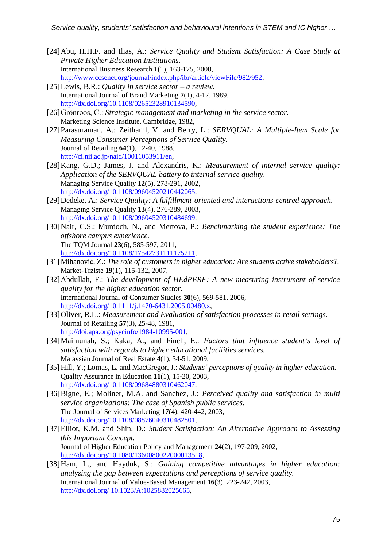- [24]Abu, H.H.F. and Ilias, A.: *Service Quality and Student Satisfaction: A Case Study at Private Higher Education Institutions.* International Business Research **1**(1), 163-175, 2008, http://www.ccsenet.org/journal/index.php/ibr/article/viewFile/982/952,
- [25]Lewis, B.R.: *Quality in service sector – a review.* International Journal of Brand Marketing **7**(1), 4-12, 1989, [http://dx.doi.org/10.1108/02652328910134590,](http://dx.doi.org/10.1108/02652328910134590)
- [26]Grönroos, C.: *Strategic management and marketing in the service sector.* Marketing Science Institute, Cambridge, 1982,
- [27]Parasuraman, A.; Zeithaml, V. and Berry, L.: *SERVQUAL: A Multiple-Item Scale for Measuring Consumer Perceptions of Service Quality.* Journal of Retailing **64**(1), 12-40, 1988, http://ci.nii.ac.jp/naid/10011053911/en,
- [28]Kang, G.D.; James, J. and Alexandris, K.: *Measurement of internal service quality: Application of the SERVQUAL battery to internal service quality.* Managing Service Quality **12**(5), 278-291, 2002, http://dx.doi.org/10.1108/09604520210442065,
- [29]Dedeke, A.: *Service Quality: A fulfillment-oriented and interactions-centred approach.* Managing Service Quality **13**(4), 276-289, 2003, [http://dx.doi.org/10.1108/09604520310484699,](http://dx.doi.org/10.1108/09604520310484699)
- [30]Nair, C.S.; Murdoch, N., and Mertova, P.: *Benchmarking the student experience: The offshore campus experience.* The TQM Journal **23**(6), 585-597, 2011, http://dx.doi.org/10.1108/17542731111175211,
- [31] Mihanović, Z.: *The role of customers in higher education: Are students active stakeholders?.* Market-Trziste **19**(1), 115-132, 2007,
- [32]Abdullah, F.: *The development of HEdPERF: A new measuring instrument of service quality for the higher education sector.*  International Journal of Consumer Studies **30**(6), 569-581, 2006, [http://dx.doi.org/10.1111/j.1470-6431.2005.00480.x,](http://dx.doi.org/10.1111/j.1470-6431.2005.00480.x)
- [33]Oliver, R.L.: *Measurement and Evaluation of satisfaction processes in retail settings.* Journal of Retailing **57**(3), 25-48, 1981, http://doi.apa.org/psycinfo/1984-10995-001,
- [34]Maimunah, S.; Kaka, A., and Finch, E.: *Factors that influence student's level of satisfaction with regards to higher educational facilities services.*  Malaysian Journal of Real Estate **4**(1), 34-51, 2009,
- [35] Hill, Y.; Lomas, L. and MacGregor, J.: *Students' perceptions of quality in higher education.* Quality Assurance in Education **11**(1), 15-20, 2003, http://dx.doi.org/10.1108/09684880310462047,
- [36]Bigne, E.; Moliner, M.A. and Sanchez, J.: *Perceived quality and satisfaction in multi service organizations: The case of Spanish public services.* The Journal of Services Marketing **17**(4), 420-442, 2003, http://dx.doi.org/10.1108/08876040310482801,
- [37]Elliot, K.M. and Shin, D.: *Student Satisfaction: An Alternative Approach to Assessing this Important Concept.*  Journal of Higher Education Policy and Management **24**(2), 197-209, 2002, <http://dx.doi.org/10.1080/1360080022000013518>,
- [38]Ham, L., and Hayduk, S.: *Gaining competitive advantages in higher education: analyzing the gap between expectations and perceptions of service quality.* International Journal of Value-Based Management **16**(3), 223-242, 2003, http://dx.doi.org/ 10.1023/A:1025882025665,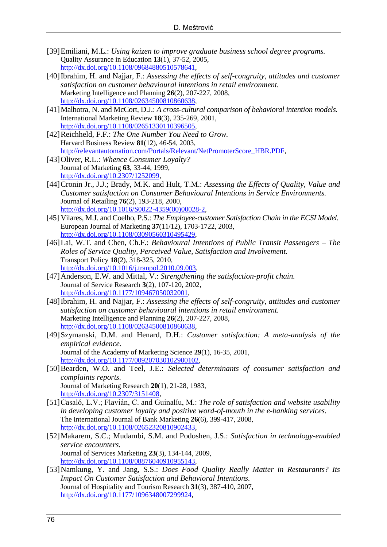- [39]Emiliani, M.L.: *Using kaizen to improve graduate business school degree programs.* Quality Assurance in Education **13**(1), 37-52, 2005, [http://dx.doi.org/10.1108/09684880510578641,](http://dx.doi.org/10.1108/09684880510578641)
- [40]Ibrahim, H. and Najjar, F.: *Assessing the effects of self-congruity, attitudes and customer satisfaction on customer behavioural intentions in retail environment.* Marketing Intelligence and Planning **26**(2), 207-227, 2008, [http://dx.doi.org/10.1108/02634500810860638,](http://dx.doi.org/10.1108/02634500810860638)
- [41] Malhotra, N. and McCort, D.J.: *A cross-cultural comparison of behavioral intention models.* International Marketing Review **18**(3), 235-269, 2001, http://dx.doi.org/10.1108/02651330110396505,
- [42]Reichheld, F.F.: *The One Number You Need to Grow.* Harvard Business Review **81**(12), 46-54, 2003, http://relevantautomation.com/Portals/Relevant/NetPromoterScore\_HBR.PDF,
- [43]Oliver, R.L.: *Whence Consumer Loyalty?* Journal of Marketing **63**, 33-44, 1999, [http://dx.doi.org/10.2307/1252099,](http://psycnet.apa.org/doi/10.2307/1252099)
- [44]Cronin Jr., J.J.; Brady, M.K. and Hult, T.M.: *Assessing the Effects of Quality, Value and Customer satisfaction on Consumer Behavioural Intentions in Service Environments.* Journal of Retailing **76**(2), 193-218, 2000, http://dx.doi.org/10.1016/S0022-4359(00)00028-2,
- [45] Vilares, M.J. and Coelho, P.S.: *The Employee-customer Satisfaction Chain in the ECSI Model.* European Journal of Marketing **37**(11/12), 1703-1722, 2003, http://dx.doi.org/10.1108/03090560310495429,
- [46]Lai, W.T. and Chen, Ch.F.: *Behavioural Intentions of Public Transit Passengers – The Roles of Service Quality, Perceived Value, Satisfaction and Involvement.*  Transport Policy **18**(2), 318-325, 2010, http://dx.doi.org/10.1016/j.tranpol.2010.09.003,
- [47]Anderson, E.W. and Mittal, V.: *Strengthening the satisfaction-profit chain.*  Journal of Service Research **3**(2), 107-120, 2002, http://dx.doi.org/10.1177/109467050032001,
- [48]Ibrahim, H. and Najjar, F.: *Assessing the effects of self-congruity, attitudes and customer satisfaction on customer behavioural intentions in retail environment.* Marketing Intelligence and Planning **26**(2), 207-227, 2008, http://dx.doi.org/10.1108/02634500810860638,
- [49]Szymanski, D.M. and Henard, D.H.: *Customer satisfaction: A meta-analysis of the empirical evidence.*  Journal of the Academy of Marketing Science **29**(1), 16-35, 2001, http://dx.doi.org/10.1177/009207030102900102,
- [50]Bearden, W.O. and Teel, J.E.: *Selected determinants of consumer satisfaction and complaints reports.*  Journal of Marketing Research **20**(1), 21-28, 1983, http://dx.doi.org/10.2307/3151408,
- [51]Casaló, L.V.; Flavián, C. and Guinalíu, M.: *The role of satisfaction and website usability in developing customer loyalty and positive word-of-mouth in the e-banking services.*  The International Journal of Bank Marketing **26**(6), 399-417, 2008, [http://dx.doi.org/10.1108/02652320810902433,](http://dx.doi.org/10.1108/02652320810902433)
- [52]Makarem, S.C.; Mudambi, S.M. and Podoshen, J.S.: *Satisfaction in technology-enabled service encounters.*  Journal of Services Marketing **23**(3), 134-144, 2009, http://dx.doi.org/10.1108/08876040910955143,
- [53]Namkung, Y. and Jang, S.S.: *Does Food Quality Really Matter in Restaurants? Its Impact On Customer Satisfaction and Behavioral Intentions.*  Journal of Hospitality and Tourism Research **31**(3), 387-410, 2007, http://dx.doi.org/10.1177/1096348007299924,